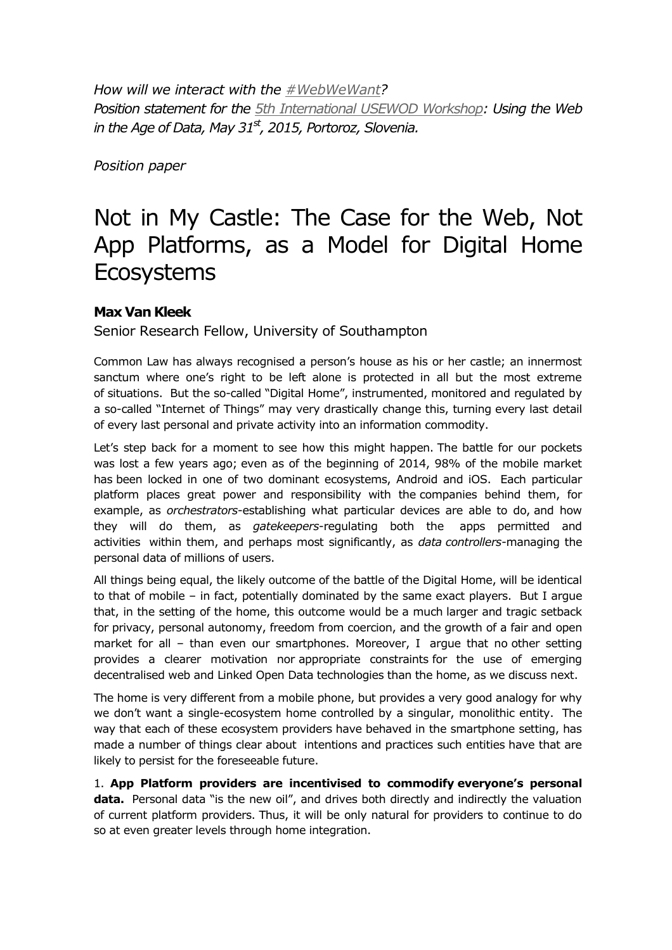*How will we interact with the [#WebWeWant?](https://twitter.com/hashtag/webwewant) Position statement for the [5th International USEWOD Workshop:](http://usewod.org/usewod2015.html) Using the Web in the Age of Data, May 31st, 2015, Portoroz, Slovenia.*

*Position paper*

## Not in My Castle: The Case for the Web, Not App Platforms, as a Model for Digital Home **Ecosystems**

## **Max Van Kleek**

Senior Research Fellow, University of Southampton

Common Law has always recognised a person's house as his or her castle; an innermost sanctum where one's right to be left alone is protected in all but the most extreme of situations. But the so-called "Digital Home", instrumented, monitored and regulated by a so-called "Internet of Things" may very drastically change this, turning every last detail of every last personal and private activity into an information commodity.

Let's step back for a moment to see how this might happen. The battle for our pockets was lost a few years ago; even as of the beginning of 2014, 98% of the mobile market has been locked in one of two dominant ecosystems, Android and iOS. Each particular platform places great power and responsibility with the companies behind them, for example, as *orchestrators*-establishing what particular devices are able to do, and how they will do them, as *gatekeepers*-regulating both the apps permitted and activities within them, and perhaps most significantly, as *data controllers*-managing the personal data of millions of users.

All things being equal, the likely outcome of the battle of the Digital Home, will be identical to that of mobile – in fact, potentially dominated by the same exact players. But I argue that, in the setting of the home, this outcome would be a much larger and tragic setback for privacy, personal autonomy, freedom from coercion, and the growth of a fair and open market for all – than even our smartphones. Moreover, I argue that no other setting provides a clearer motivation nor appropriate constraints for the use of emerging decentralised web and Linked Open Data technologies than the home, as we discuss next.

The home is very different from a mobile phone, but provides a very good analogy for why we don't want a single-ecosystem home controlled by a singular, monolithic entity. The way that each of these ecosystem providers have behaved in the smartphone setting, has made a number of things clear about intentions and practices such entities have that are likely to persist for the foreseeable future.

1. **App Platform providers are incentivised to commodify everyone's personal**  data. Personal data "is the new oil", and drives both directly and indirectly the valuation of current platform providers. Thus, it will be only natural for providers to continue to do so at even greater levels through home integration.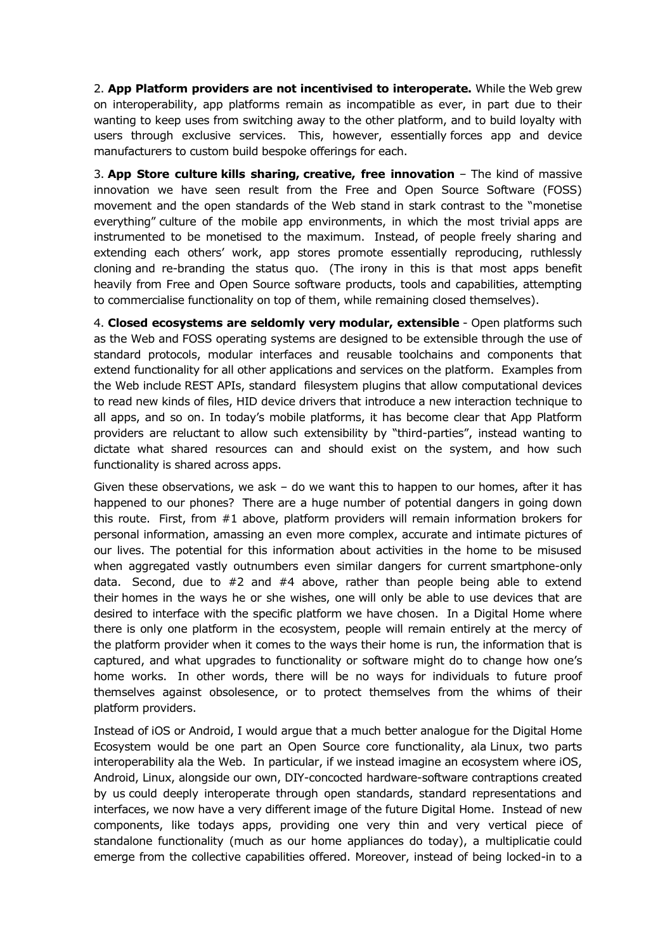2. **App Platform providers are not incentivised to interoperate.** While the Web grew on interoperability, app platforms remain as incompatible as ever, in part due to their wanting to keep uses from switching away to the other platform, and to build loyalty with users through exclusive services. This, however, essentially forces app and device manufacturers to custom build bespoke offerings for each.

3. **App Store culture kills sharing, creative, free innovation** – The kind of massive innovation we have seen result from the Free and Open Source Software (FOSS) movement and the open standards of the Web stand in stark contrast to the "monetise everything" culture of the mobile app environments, in which the most trivial apps are instrumented to be monetised to the maximum. Instead, of people freely sharing and extending each others' work, app stores promote essentially reproducing, ruthlessly cloning and re-branding the status quo. (The irony in this is that most apps benefit heavily from Free and Open Source software products, tools and capabilities, attempting to commercialise functionality on top of them, while remaining closed themselves).

4. **Closed ecosystems are seldomly very modular, extensible** - Open platforms such as the Web and FOSS operating systems are designed to be extensible through the use of standard protocols, modular interfaces and reusable toolchains and components that extend functionality for all other applications and services on the platform. Examples from the Web include REST APIs, standard filesystem plugins that allow computational devices to read new kinds of files, HID device drivers that introduce a new interaction technique to all apps, and so on. In today's mobile platforms, it has become clear that App Platform providers are reluctant to allow such extensibility by "third-parties", instead wanting to dictate what shared resources can and should exist on the system, and how such functionality is shared across apps.

Given these observations, we ask  $-$  do we want this to happen to our homes, after it has happened to our phones? There are a huge number of potential dangers in going down this route. First, from #1 above, platform providers will remain information brokers for personal information, amassing an even more complex, accurate and intimate pictures of our lives. The potential for this information about activities in the home to be misused when aggregated vastly outnumbers even similar dangers for current smartphone-only data. Second, due to  $#2$  and  $#4$  above, rather than people being able to extend their homes in the ways he or she wishes, one will only be able to use devices that are desired to interface with the specific platform we have chosen. In a Digital Home where there is only one platform in the ecosystem, people will remain entirely at the mercy of the platform provider when it comes to the ways their home is run, the information that is captured, and what upgrades to functionality or software might do to change how one's home works. In other words, there will be no ways for individuals to future proof themselves against obsolesence, or to protect themselves from the whims of their platform providers.

Instead of iOS or Android, I would argue that a much better analogue for the Digital Home Ecosystem would be one part an Open Source core functionality, ala Linux, two parts interoperability ala the Web. In particular, if we instead imagine an ecosystem where iOS, Android, Linux, alongside our own, DIY-concocted hardware-software contraptions created by us could deeply interoperate through open standards, standard representations and interfaces, we now have a very different image of the future Digital Home. Instead of new components, like todays apps, providing one very thin and very vertical piece of standalone functionality (much as our home appliances do today), a multiplicatie could emerge from the collective capabilities offered. Moreover, instead of being locked-in to a